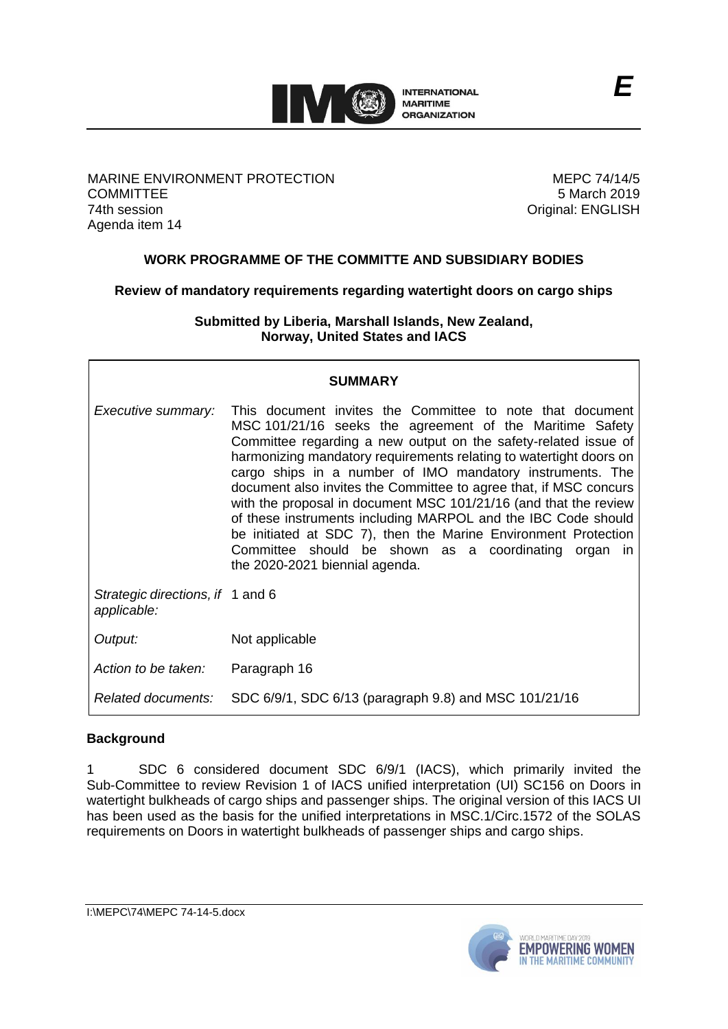

MARINE ENVIRONMENT PROTECTION **COMMITTEE** 74th session Agenda item 14

MEPC 74/14/5 5 March 2019 Original: ENGLISH

## **WORK PROGRAMME OF THE COMMITTE AND SUBSIDIARY BODIES**

**Review of mandatory requirements regarding watertight doors on cargo ships**

**Submitted by Liberia, Marshall Islands, New Zealand, Norway, United States and IACS**

# **SUMMARY**

| Executive summary:                              | This document invites the Committee to note that document<br>MSC 101/21/16 seeks the agreement of the Maritime Safety<br>Committee regarding a new output on the safety-related issue of<br>harmonizing mandatory requirements relating to watertight doors on<br>cargo ships in a number of IMO mandatory instruments. The<br>document also invites the Committee to agree that, if MSC concurs<br>with the proposal in document MSC 101/21/16 (and that the review<br>of these instruments including MARPOL and the IBC Code should<br>be initiated at SDC 7), then the Marine Environment Protection<br>Committee should be shown as a coordinating organ in<br>the 2020-2021 biennial agenda. |
|-------------------------------------------------|---------------------------------------------------------------------------------------------------------------------------------------------------------------------------------------------------------------------------------------------------------------------------------------------------------------------------------------------------------------------------------------------------------------------------------------------------------------------------------------------------------------------------------------------------------------------------------------------------------------------------------------------------------------------------------------------------|
| Strategic directions, if 1 and 6<br>applicable: |                                                                                                                                                                                                                                                                                                                                                                                                                                                                                                                                                                                                                                                                                                   |
| Output:                                         | Not applicable                                                                                                                                                                                                                                                                                                                                                                                                                                                                                                                                                                                                                                                                                    |
| Action to be taken:                             | Paragraph 16                                                                                                                                                                                                                                                                                                                                                                                                                                                                                                                                                                                                                                                                                      |
| Related documents:                              | SDC 6/9/1, SDC 6/13 (paragraph 9.8) and MSC 101/21/16                                                                                                                                                                                                                                                                                                                                                                                                                                                                                                                                                                                                                                             |

### **Background**

1 SDC 6 considered document SDC 6/9/1 (IACS), which primarily invited the Sub-Committee to review Revision 1 of IACS unified interpretation (UI) SC156 on Doors in watertight bulkheads of cargo ships and passenger ships. The original version of this IACS UI has been used as the basis for the unified interpretations in MSC.1/Circ.1572 of the SOLAS requirements on Doors in watertight bulkheads of passenger ships and cargo ships.

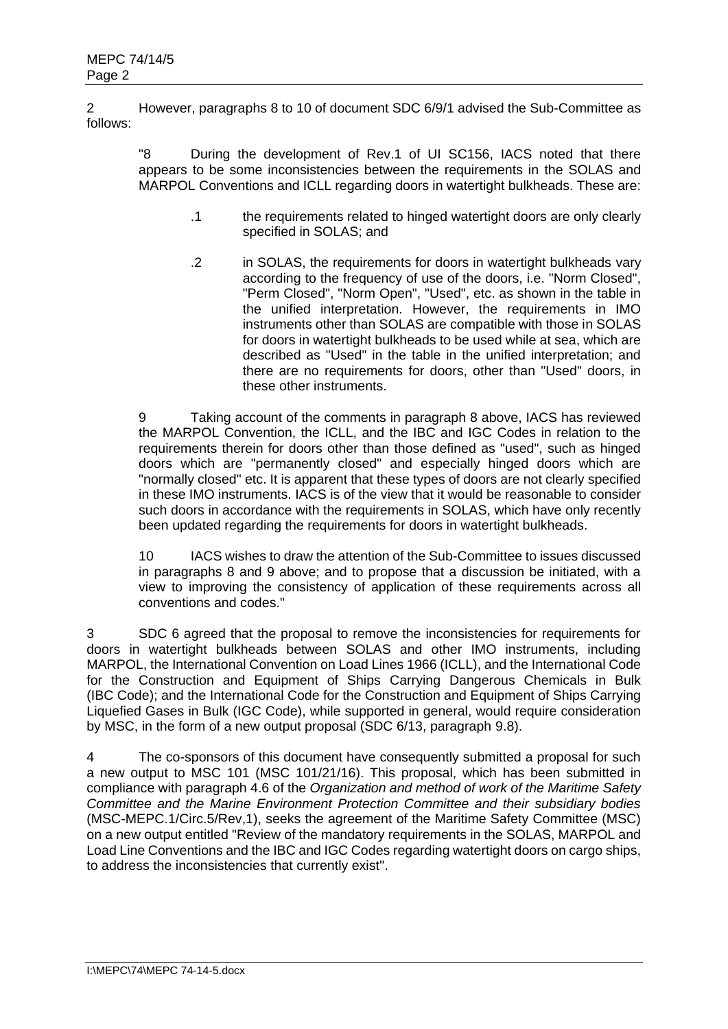2 However, paragraphs 8 to 10 of document SDC 6/9/1 advised the Sub-Committee as follows:

"8 During the development of Rev.1 of UI SC156, IACS noted that there appears to be some inconsistencies between the requirements in the SOLAS and MARPOL Conventions and ICLL regarding doors in watertight bulkheads. These are:

- .1 the requirements related to hinged watertight doors are only clearly specified in SOLAS; and
- .2 in SOLAS, the requirements for doors in watertight bulkheads vary according to the frequency of use of the doors, i.e. "Norm Closed", "Perm Closed", "Norm Open", "Used", etc. as shown in the table in the unified interpretation. However, the requirements in IMO instruments other than SOLAS are compatible with those in SOLAS for doors in watertight bulkheads to be used while at sea, which are described as "Used" in the table in the unified interpretation; and there are no requirements for doors, other than "Used" doors, in these other instruments.

9 Taking account of the comments in paragraph 8 above, IACS has reviewed the MARPOL Convention, the ICLL, and the IBC and IGC Codes in relation to the requirements therein for doors other than those defined as "used", such as hinged doors which are "permanently closed" and especially hinged doors which are "normally closed" etc. It is apparent that these types of doors are not clearly specified in these IMO instruments. IACS is of the view that it would be reasonable to consider such doors in accordance with the requirements in SOLAS, which have only recently been updated regarding the requirements for doors in watertight bulkheads.

10 IACS wishes to draw the attention of the Sub-Committee to issues discussed in paragraphs 8 and 9 above; and to propose that a discussion be initiated, with a view to improving the consistency of application of these requirements across all conventions and codes."

3 SDC 6 agreed that the proposal to remove the inconsistencies for requirements for doors in watertight bulkheads between SOLAS and other IMO instruments, including MARPOL, the International Convention on Load Lines 1966 (ICLL), and the International Code for the Construction and Equipment of Ships Carrying Dangerous Chemicals in Bulk (IBC Code); and the International Code for the Construction and Equipment of Ships Carrying Liquefied Gases in Bulk (IGC Code), while supported in general, would require consideration by MSC, in the form of a new output proposal (SDC 6/13, paragraph 9.8).

4 The co-sponsors of this document have consequently submitted a proposal for such a new output to MSC 101 (MSC 101/21/16). This proposal, which has been submitted in compliance with paragraph 4.6 of the *Organization and method of work of the Maritime Safety Committee and the Marine Environment Protection Committee and their subsidiary bodies* (MSC-MEPC.1/Circ.5/Rev,1), seeks the agreement of the Maritime Safety Committee (MSC) on a new output entitled "Review of the mandatory requirements in the SOLAS, MARPOL and Load Line Conventions and the IBC and IGC Codes regarding watertight doors on cargo ships, to address the inconsistencies that currently exist".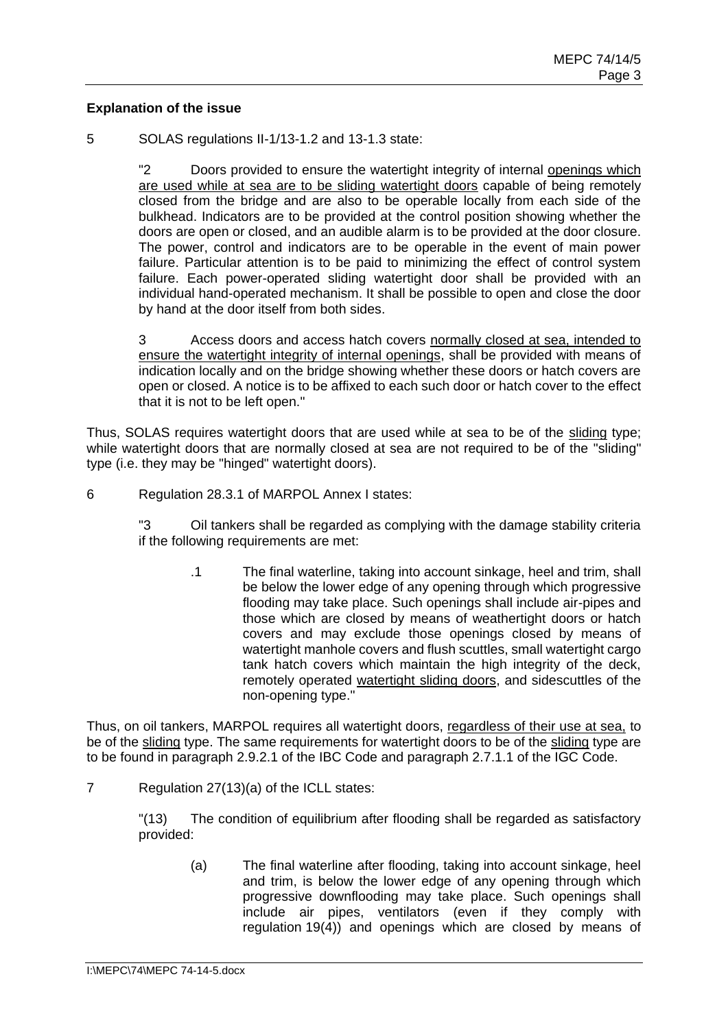#### **Explanation of the issue**

5 SOLAS regulations II-1/13-1.2 and 13-1.3 state:

"2 Doors provided to ensure the watertight integrity of internal openings which are used while at sea are to be sliding watertight doors capable of being remotely closed from the bridge and are also to be operable locally from each side of the bulkhead. Indicators are to be provided at the control position showing whether the doors are open or closed, and an audible alarm is to be provided at the door closure. The power, control and indicators are to be operable in the event of main power failure. Particular attention is to be paid to minimizing the effect of control system failure. Each power-operated sliding watertight door shall be provided with an individual hand-operated mechanism. It shall be possible to open and close the door by hand at the door itself from both sides.

3 Access doors and access hatch covers normally closed at sea, intended to ensure the watertight integrity of internal openings, shall be provided with means of indication locally and on the bridge showing whether these doors or hatch covers are open or closed. A notice is to be affixed to each such door or hatch cover to the effect that it is not to be left open."

Thus. SOLAS requires watertight doors that are used while at sea to be of the sliding type; while watertight doors that are normally closed at sea are not required to be of the "sliding" type (i.e. they may be "hinged" watertight doors).

6 Regulation 28.3.1 of MARPOL Annex I states:

"3 Oil tankers shall be regarded as complying with the damage stability criteria if the following requirements are met:

> .1 The final waterline, taking into account sinkage, heel and trim, shall be below the lower edge of any opening through which progressive flooding may take place. Such openings shall include air-pipes and those which are closed by means of weathertight doors or hatch covers and may exclude those openings closed by means of watertight manhole covers and flush scuttles, small watertight cargo tank hatch covers which maintain the high integrity of the deck, remotely operated watertight sliding doors, and sidescuttles of the non-opening type."

Thus, on oil tankers, MARPOL requires all watertight doors, regardless of their use at sea, to be of the sliding type. The same requirements for watertight doors to be of the sliding type are to be found in paragraph 2.9.2.1 of the IBC Code and paragraph 2.7.1.1 of the IGC Code.

7 Regulation 27(13)(a) of the ICLL states:

"(13) The condition of equilibrium after flooding shall be regarded as satisfactory provided:

(a) The final waterline after flooding, taking into account sinkage, heel and trim, is below the lower edge of any opening through which progressive downflooding may take place. Such openings shall include air pipes, ventilators (even if they comply with regulation 19(4)) and openings which are closed by means of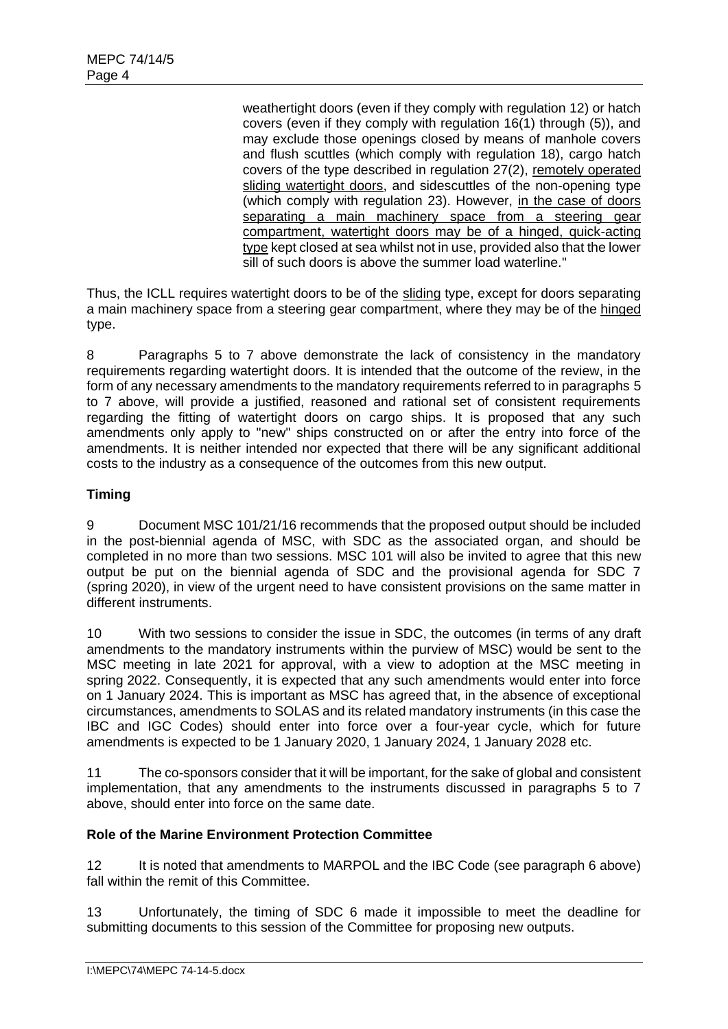weathertight doors (even if they comply with regulation 12) or hatch covers (even if they comply with regulation 16(1) through (5)), and may exclude those openings closed by means of manhole covers and flush scuttles (which comply with regulation 18), cargo hatch covers of the type described in regulation 27(2), remotely operated sliding watertight doors, and sidescuttles of the non-opening type (which comply with regulation 23). However, in the case of doors separating a main machinery space from a steering gear compartment, watertight doors may be of a hinged, quick-acting type kept closed at sea whilst not in use, provided also that the lower sill of such doors is above the summer load waterline."

Thus, the ICLL requires watertight doors to be of the sliding type, except for doors separating a main machinery space from a steering gear compartment, where they may be of the hinged type.

8 Paragraphs 5 to 7 above demonstrate the lack of consistency in the mandatory requirements regarding watertight doors. It is intended that the outcome of the review, in the form of any necessary amendments to the mandatory requirements referred to in paragraphs 5 to 7 above, will provide a justified, reasoned and rational set of consistent requirements regarding the fitting of watertight doors on cargo ships. It is proposed that any such amendments only apply to "new" ships constructed on or after the entry into force of the amendments. It is neither intended nor expected that there will be any significant additional costs to the industry as a consequence of the outcomes from this new output.

# **Timing**

9 Document MSC 101/21/16 recommends that the proposed output should be included in the post-biennial agenda of MSC, with SDC as the associated organ, and should be completed in no more than two sessions. MSC 101 will also be invited to agree that this new output be put on the biennial agenda of SDC and the provisional agenda for SDC 7 (spring 2020), in view of the urgent need to have consistent provisions on the same matter in different instruments.

10 With two sessions to consider the issue in SDC, the outcomes (in terms of any draft amendments to the mandatory instruments within the purview of MSC) would be sent to the MSC meeting in late 2021 for approval, with a view to adoption at the MSC meeting in spring 2022. Consequently, it is expected that any such amendments would enter into force on 1 January 2024. This is important as MSC has agreed that, in the absence of exceptional circumstances, amendments to SOLAS and its related mandatory instruments (in this case the IBC and IGC Codes) should enter into force over a four-year cycle, which for future amendments is expected to be 1 January 2020, 1 January 2024, 1 January 2028 etc.

11 The co-sponsors consider that it will be important, for the sake of global and consistent implementation, that any amendments to the instruments discussed in paragraphs 5 to 7 above, should enter into force on the same date.

# **Role of the Marine Environment Protection Committee**

12 It is noted that amendments to MARPOL and the IBC Code (see paragraph 6 above) fall within the remit of this Committee.

13 Unfortunately, the timing of SDC 6 made it impossible to meet the deadline for submitting documents to this session of the Committee for proposing new outputs.